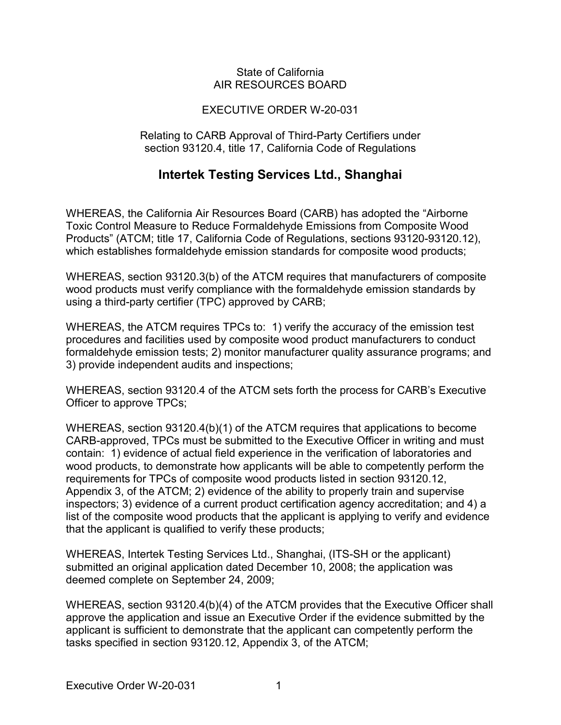#### State of California AIR RESOURCES BOARD

### EXECUTIVE ORDER W-20-031

#### Relating to CARB Approval of Third-Party Certifiers under section 93120.4, title 17, California Code of Regulations

## **Intertek Testing Services Ltd., Shanghai**

 which establishes formaldehyde emission standards for composite wood products; WHEREAS, the California Air Resources Board (CARB) has adopted the "Airborne Toxic Control Measure to Reduce Formaldehyde Emissions from Composite Wood Products" (ATCM; title 17, California Code of Regulations, sections 93120-93120.12),

 using a third-party certifier (TPC) approved by CARB; WHEREAS, section 93120.3(b) of the ATCM requires that manufacturers of composite wood products must verify compliance with the formaldehyde emission standards by

 WHEREAS, the ATCM requires TPCs to: 1) verify the accuracy of the emission test procedures and facilities used by composite wood product manufacturers to conduct formaldehyde emission tests; 2) monitor manufacturer quality assurance programs; and 3) provide independent audits and inspections;

 WHEREAS, section 93120.4 of the ATCM sets forth the process for CARB's Executive Officer to approve TPCs;

 CARB-approved, TPCs must be submitted to the Executive Officer in writing and must contain: 1) evidence of actual field experience in the verification of laboratories and that the applicant is qualified to verify these products; WHEREAS, section 93120.4(b)(1) of the ATCM requires that applications to become wood products, to demonstrate how applicants will be able to competently perform the requirements for TPCs of composite wood products listed in section 93120.12, Appendix 3, of the ATCM; 2) evidence of the ability to properly train and supervise inspectors; 3) evidence of a current product certification agency accreditation; and 4) a list of the composite wood products that the applicant is applying to verify and evidence

 submitted an original application dated December 10, 2008; the application was deemed complete on September 24, 2009; WHEREAS, Intertek Testing Services Ltd., Shanghai, (ITS-SH or the applicant)

 tasks specified in section 93120.12, Appendix 3, of the ATCM; WHEREAS, section 93120.4(b)(4) of the ATCM provides that the Executive Officer shall approve the application and issue an Executive Order if the evidence submitted by the applicant is sufficient to demonstrate that the applicant can competently perform the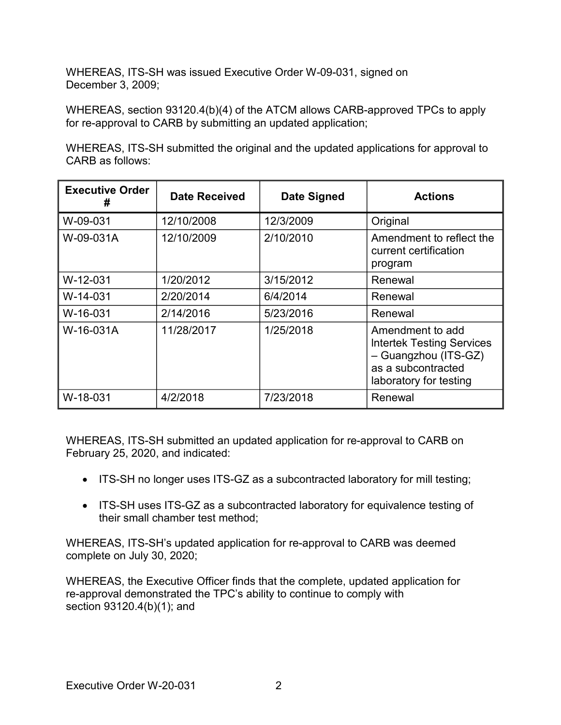WHEREAS, ITS-SH was issued Executive Order W-09-031, signed on December 3, 2009;

 WHEREAS, section 93120.4(b)(4) of the ATCM allows CARB-approved TPCs to apply for re-approval to CARB by submitting an updated application;

WHEREAS, ITS-SH submitted the original and the updated applications for approval to CARB as follows:

| <b>Executive Order</b><br># | <b>Date Received</b> | <b>Date Signed</b> | <b>Actions</b>                                                                                                               |
|-----------------------------|----------------------|--------------------|------------------------------------------------------------------------------------------------------------------------------|
| W-09-031                    | 12/10/2008           | 12/3/2009          | Original                                                                                                                     |
| W-09-031A                   | 12/10/2009           | 2/10/2010          | Amendment to reflect the<br>current certification<br>program                                                                 |
| W-12-031                    | 1/20/2012            | 3/15/2012          | Renewal                                                                                                                      |
| W-14-031                    | 2/20/2014            | 6/4/2014           | Renewal                                                                                                                      |
| W-16-031                    | 2/14/2016            | 5/23/2016          | Renewal                                                                                                                      |
| W-16-031A                   | 11/28/2017           | 1/25/2018          | Amendment to add<br><b>Intertek Testing Services</b><br>- Guangzhou (ITS-GZ)<br>as a subcontracted<br>laboratory for testing |
| W-18-031                    | 4/2/2018             | 7/23/2018          | Renewal                                                                                                                      |

WHEREAS, ITS-SH submitted an updated application for re-approval to CARB on February 25, 2020, and indicated:

- ITS-SH no longer uses ITS-GZ as a subcontracted laboratory for mill testing;
- ITS-SH uses ITS-GZ as a subcontracted laboratory for equivalence testing of their small chamber test method;

WHEREAS, ITS-SH's updated application for re-approval to CARB was deemed complete on July 30, 2020;

 WHEREAS, the Executive Officer finds that the complete, updated application for section 93120.4(b)(1); and re-approval demonstrated the TPC's ability to continue to comply with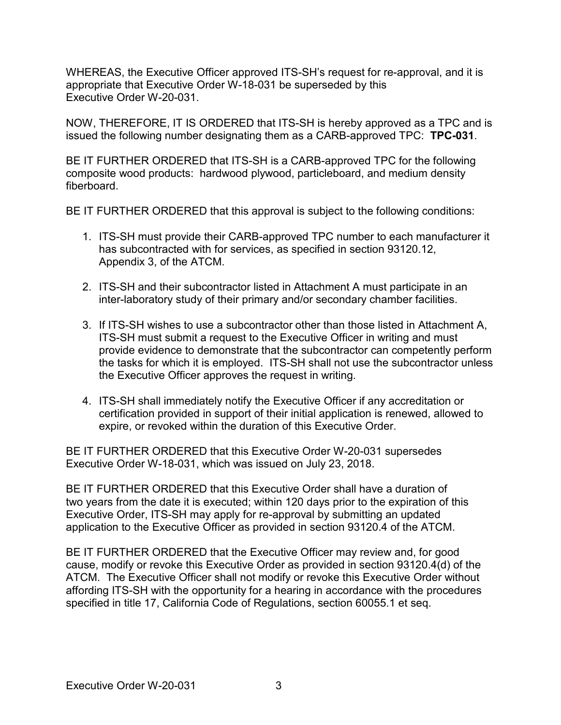appropriate that Executive Order W-18-031 be superseded by this Executive Order W-20-031. WHEREAS, the Executive Officer approved ITS-SH's request for re-approval, and it is

 NOW, THEREFORE, IT IS ORDERED that ITS-SH is hereby approved as a TPC and is issued the following number designating them as a CARB-approved TPC: **TPC-031**.

 BE IT FURTHER ORDERED that ITS-SH is a CARB-approved TPC for the following composite wood products: hardwood plywood, particleboard, and medium density fiberboard

fiberboard.<br>BE IT FURTHER ORDERED that this approval is subject to the following conditions:

- 1. ITS-SH must provide their CARB-approved TPC number to each manufacturer it Appendix 3, of the ATCM. has subcontracted with for services, as specified in section [93120.12,](https://93120.12)
- 2. ITS-SH and their subcontractor listed in Attachment A must participate in an inter-laboratory study of their primary and/or secondary chamber facilities.
- 3. If ITS-SH wishes to use a subcontractor other than those listed in Attachment A, the tasks for which it is employed. ITS-SH shall not use the subcontractor unless the Executive Officer approves the request in writing. ITS-SH must submit a request to the Executive Officer in writing and must provide evidence to demonstrate that the subcontractor can competently perform
- expire, or revoked within the duration of this Executive Order. 4. ITS-SH shall immediately notify the Executive Officer if any accreditation or certification provided in support of their initial application is renewed, allowed to

 BE IT FURTHER ORDERED that this Executive Order W-20-031 supersedes Executive Order W-18-031, which was issued on July 23, 2018.

 application to the Executive Officer as provided in section 93120.4 of the ATCM. BE IT FURTHER ORDERED that this Executive Order shall have a duration of two years from the date it is executed; within 120 days prior to the expiration of this Executive Order, ITS-SH may apply for re-approval by submitting an updated

 BE IT FURTHER ORDERED that the Executive Officer may review and, for good ATCM. The Executive Officer shall not modify or revoke this Executive Order without specified in title 17, California Code of Regulations, section 60055.1 et seq. cause, modify or revoke this Executive Order as provided in section 93120.4(d) of the affording ITS-SH with the opportunity for a hearing in accordance with the procedures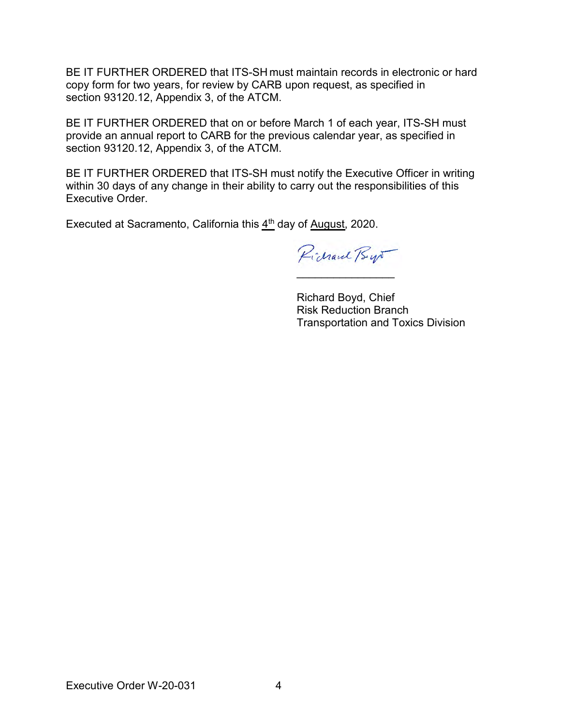BE IT FURTHER ORDERED that ITS-SH must maintain records in electronic or hard copy form for two years, for review by CARB upon request, as specified in section [93120.12,](https://93120.12) Appendix 3, of the ATCM.

 BE IT FURTHER ORDERED that on or before March 1 of each year, ITS-SH must section [93120.12,](https://93120.12) Appendix 3, of the ATCM. provide an annual report to CARB for the previous calendar year, as specified in

BE IT FURTHER ORDERED that ITS-SH must notify the Executive Officer in writing within 30 days of any change in their ability to carry out the responsibilities of this Executive Order.

Executed at Sacramento, California this  $4<sup>th</sup>$  day of August, 2020.

Pichaul Bys  $\mathcal{L}$  , we are the set of the set of the set of the set of the set of the set of the set of the set of the set of the set of the set of the set of the set of the set of the set of the set of the set of the set of the s

Richard Boyd, Chief Risk Reduction Branch Transportation and Toxics Division